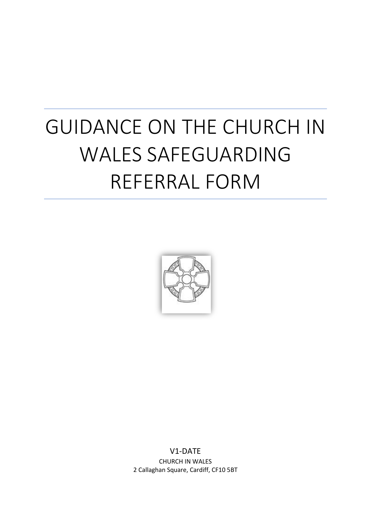# GUIDANCE ON THE CHURCH IN WALES SAFEGUARDING REFERRAL FORM



V1-DATE CHURCH IN WALES 2 Callaghan Square, Cardiff, CF10 5BT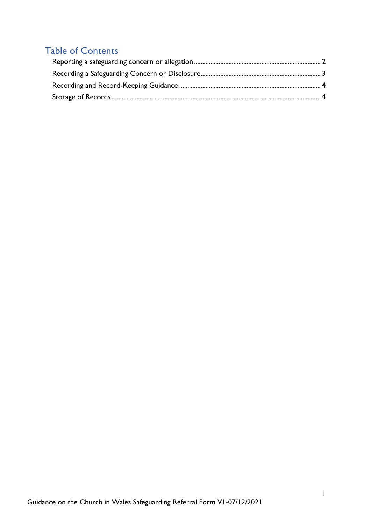## Table of Contents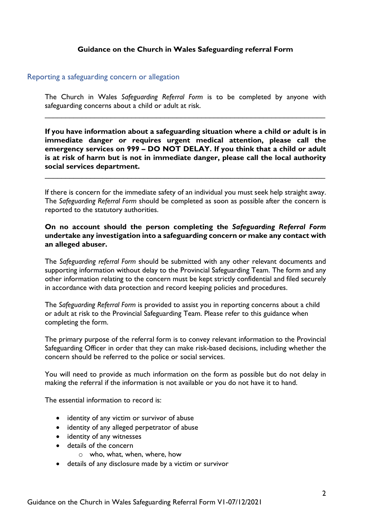#### **Guidance on the Church in Wales Safeguarding referral Form**

#### <span id="page-2-0"></span>Reporting a safeguarding concern or allegation

The Church in Wales *Safeguarding Referral Form* is to be completed by anyone with safeguarding concerns about a child or adult at risk.

\_\_\_\_\_\_\_\_\_\_\_\_\_\_\_\_\_\_\_\_\_\_\_\_\_\_\_\_\_\_\_\_\_\_\_\_\_\_\_\_\_\_\_\_\_\_\_\_\_\_\_\_\_\_\_\_\_\_\_\_\_\_\_\_\_\_\_\_

**If you have information about a safeguarding situation where a child or adult is in immediate danger or requires urgent medical attention, please call the emergency services on 999 – DO NOT DELAY. If you think that a child or adult is at risk of harm but is not in immediate danger, please call the local authority social services department.**

If there is concern for the immediate safety of an individual you must seek help straight away. The *Safeguarding Referral Form* should be completed as soon as possible after the concern is reported to the statutory authorities.

\_\_\_\_\_\_\_\_\_\_\_\_\_\_\_\_\_\_\_\_\_\_\_\_\_\_\_\_\_\_\_\_\_\_\_\_\_\_\_\_\_\_\_\_\_\_\_\_\_\_\_\_\_\_\_\_\_\_\_\_\_\_\_\_\_\_\_\_

#### **On no account should the person completing the** *Safeguarding Referral Form* **undertake any investigation into a safeguarding concern or make any contact with an alleged abuser.**

The *Safeguarding referral Form* should be submitted with any other relevant documents and supporting information without delay to the Provincial Safeguarding Team. The form and any other information relating to the concern must be kept strictly confidential and filed securely in accordance with data protection and record keeping policies and procedures.

The *Safeguarding Referral Form* is provided to assist you in reporting concerns about a child or adult at risk to the Provincial Safeguarding Team. Please refer to this guidance when completing the form.

The primary purpose of the referral form is to convey relevant information to the Provincial Safeguarding Officer in order that they can make risk-based decisions, including whether the concern should be referred to the police or social services.

You will need to provide as much information on the form as possible but do not delay in making the referral if the information is not available or you do not have it to hand.

The essential information to record is:

- identity of any victim or survivor of abuse
- identity of any alleged perpetrator of abuse
- identity of any witnesses
- details of the concern
	- o who, what, when, where, how
- details of any disclosure made by a victim or survivor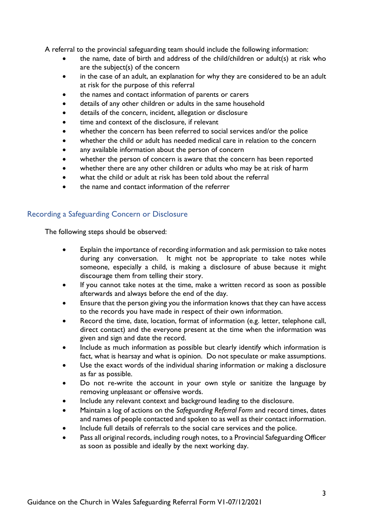A referral to the provincial safeguarding team should include the following information:

- the name, date of birth and address of the child/children or adult(s) at risk who are the subject(s) of the concern
- in the case of an adult, an explanation for why they are considered to be an adult at risk for the purpose of this referral
- the names and contact information of parents or carers
- details of any other children or adults in the same household
- details of the concern, incident, allegation or disclosure
- time and context of the disclosure, if relevant
- whether the concern has been referred to social services and/or the police
- whether the child or adult has needed medical care in relation to the concern
- any available information about the person of concern
- whether the person of concern is aware that the concern has been reported
- whether there are any other children or adults who may be at risk of harm
- what the child or adult at risk has been told about the referral
- the name and contact information of the referrer

#### <span id="page-3-0"></span>Recording a Safeguarding Concern or Disclosure

The following steps should be observed:

- Explain the importance of recording information and ask permission to take notes during any conversation. It might not be appropriate to take notes while someone, especially a child, is making a disclosure of abuse because it might discourage them from telling their story.
- If you cannot take notes at the time, make a written record as soon as possible afterwards and always before the end of the day.
- Ensure that the person giving you the information knows that they can have access to the records you have made in respect of their own information.
- Record the time, date, location, format of information (e.g. letter, telephone call, direct contact) and the everyone present at the time when the information was given and sign and date the record.
- Include as much information as possible but clearly identify which information is fact, what is hearsay and what is opinion. Do not speculate or make assumptions.
- Use the exact words of the individual sharing information or making a disclosure as far as possible.
- Do not re-write the account in your own style or sanitize the language by removing unpleasant or offensive words.
- Include any relevant context and background leading to the disclosure.
- Maintain a log of actions on the *Safeguarding Referral Form* and record times, dates and names of people contacted and spoken to as well as their contact information.
- Include full details of referrals to the social care services and the police.
- Pass all original records, including rough notes, to a Provincial Safeguarding Officer as soon as possible and ideally by the next working day.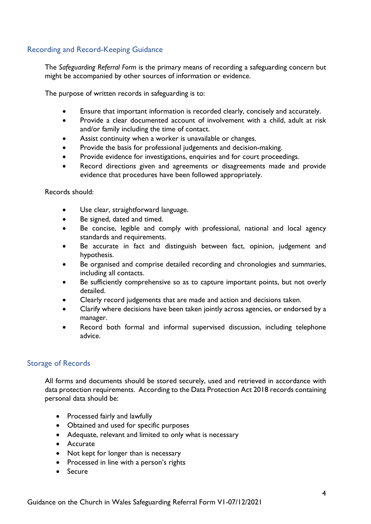### <span id="page-4-0"></span>Recording and Record-Keeping Guidance

The *Safeguarding Referral Form* is the primary means of recording a safeguarding concern but might be accompanied by other sources of information or evidence.

The purpose of written records in safeguarding is to:

- Ensure that important information is recorded clearly, concisely and accurately.
- Provide a clear documented account of involvement with a child, adult at risk and/or family including the time of contact.
- Assist continuity when a worker is unavailable or changes.
- Provide the basis for professional judgements and decision-making.
- Provide evidence for investigations, enquiries and for court proceedings.
- Record directions given and agreements or disagreements made and provide evidence that procedures have been followed appropriately.

Records should:

- Use clear, straightforward language.
- Be signed, dated and timed.
- Be concise, legible and comply with professional, national and local agency standards and requirements.
- Be accurate in fact and distinguish between fact, opinion, judgement and hypothesis.
- Be organised and comprise detailed recording and chronologies and summaries, including all contacts.
- Be sufficiently comprehensive so as to capture important points, but not overly detailed.
- Clearly record judgements that are made and action and decisions taken.
- Clarify where decisions have been taken jointly across agencies, or endorsed by a manager.
- Record both formal and informal supervised discussion, including telephone advice.

#### <span id="page-4-1"></span>Storage of Records

All forms and documents should be stored securely, used and retrieved in accordance with data protection requirements. According to the Data Protection Act 2018 records containing personal data should be:

- Processed fairly and lawfully
- Obtained and used for specific purposes
- Adequate, relevant and limited to only what is necessary
- Accurate
- Not kept for longer than is necessary
- Processed in line with a person's rights
- Secure